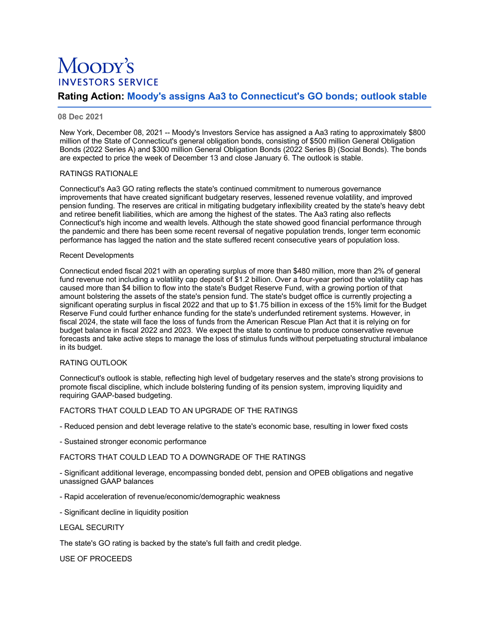# Moopy's **INVESTORS SERVICE**

# **Rating Action: Moody's assigns Aa3 to Connecticut's GO bonds; outlook stable**

# **08 Dec 2021**

New York, December 08, 2021 -- Moody's Investors Service has assigned a Aa3 rating to approximately \$800 million of the State of Connecticut's general obligation bonds, consisting of \$500 million General Obligation Bonds (2022 Series A) and \$300 million General Obligation Bonds (2022 Series B) (Social Bonds). The bonds are expected to price the week of December 13 and close January 6. The outlook is stable.

### RATINGS RATIONALE

Connecticut's Aa3 GO rating reflects the state's continued commitment to numerous governance improvements that have created significant budgetary reserves, lessened revenue volatility, and improved pension funding. The reserves are critical in mitigating budgetary inflexibility created by the state's heavy debt and retiree benefit liabilities, which are among the highest of the states. The Aa3 rating also reflects Connecticut's high income and wealth levels. Although the state showed good financial performance through the pandemic and there has been some recent reversal of negative population trends, longer term economic performance has lagged the nation and the state suffered recent consecutive years of population loss.

### Recent Developments

Connecticut ended fiscal 2021 with an operating surplus of more than \$480 million, more than 2% of general fund revenue not including a volatility cap deposit of \$1.2 billion. Over a four-year period the volatility cap has caused more than \$4 billion to flow into the state's Budget Reserve Fund, with a growing portion of that amount bolstering the assets of the state's pension fund. The state's budget office is currently projecting a significant operating surplus in fiscal 2022 and that up to \$1.75 billion in excess of the 15% limit for the Budget Reserve Fund could further enhance funding for the state's underfunded retirement systems. However, in fiscal 2024, the state will face the loss of funds from the American Rescue Plan Act that it is relying on for budget balance in fiscal 2022 and 2023. We expect the state to continue to produce conservative revenue forecasts and take active steps to manage the loss of stimulus funds without perpetuating structural imbalance in its budget.

## RATING OUTLOOK

Connecticut's outlook is stable, reflecting high level of budgetary reserves and the state's strong provisions to promote fiscal discipline, which include bolstering funding of its pension system, improving liquidity and requiring GAAP-based budgeting.

### FACTORS THAT COULD LEAD TO AN UPGRADE OF THE RATINGS

- Reduced pension and debt leverage relative to the state's economic base, resulting in lower fixed costs

- Sustained stronger economic performance

### FACTORS THAT COULD LEAD TO A DOWNGRADE OF THE RATINGS

- Significant additional leverage, encompassing bonded debt, pension and OPEB obligations and negative unassigned GAAP balances

- Rapid acceleration of revenue/economic/demographic weakness

- Significant decline in liquidity position

#### LEGAL SECURITY

The state's GO rating is backed by the state's full faith and credit pledge.

USE OF PROCEEDS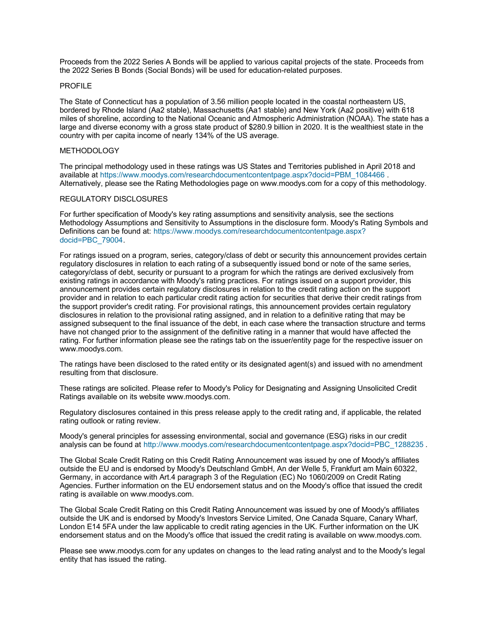Proceeds from the 2022 Series A Bonds will be applied to various capital projects of the state. Proceeds from the 2022 Series B Bonds (Social Bonds) will be used for education-related purposes.

#### PROFILE

The State of Connecticut has a population of 3.56 million people located in the coastal northeastern US, bordered by Rhode Island (Aa2 stable), Massachusetts (Aa1 stable) and New York (Aa2 positive) with 618 miles of shoreline, according to the National Oceanic and Atmospheric Administration (NOAA). The state has a large and diverse economy with a gross state product of \$280.9 billion in 2020. It is the wealthiest state in the country with per capita income of nearly 134% of the US average.

# **METHODOLOGY**

The principal methodology used in these ratings was US States and Territories published in April 2018 and available at [https://www.moodys.com/researchdocumentcontentpage.aspx?docid=PBM\\_1084466](https://www.moodys.com/researchdocumentcontentpage.aspx?docid=PBM_1084466) . Alternatively, please see the Rating Methodologies page on www.moodys.com for a copy of this methodology.

#### REGULATORY DISCLOSURES

For further specification of Moody's key rating assumptions and sensitivity analysis, see the sections Methodology Assumptions and Sensitivity to Assumptions in the disclosure form. Moody's Rating Symbols and [Definitions can be found at: https://www.moodys.com/researchdocumentcontentpage.aspx?](https://www.moodys.com/researchdocumentcontentpage.aspx?docid=PBC_79004) docid=PBC\_79004.

For ratings issued on a program, series, category/class of debt or security this announcement provides certain regulatory disclosures in relation to each rating of a subsequently issued bond or note of the same series, category/class of debt, security or pursuant to a program for which the ratings are derived exclusively from existing ratings in accordance with Moody's rating practices. For ratings issued on a support provider, this announcement provides certain regulatory disclosures in relation to the credit rating action on the support provider and in relation to each particular credit rating action for securities that derive their credit ratings from the support provider's credit rating. For provisional ratings, this announcement provides certain regulatory disclosures in relation to the provisional rating assigned, and in relation to a definitive rating that may be assigned subsequent to the final issuance of the debt, in each case where the transaction structure and terms have not changed prior to the assignment of the definitive rating in a manner that would have affected the rating. For further information please see the ratings tab on the issuer/entity page for the respective issuer on www.moodys.com.

The ratings have been disclosed to the rated entity or its designated agent(s) and issued with no amendment resulting from that disclosure.

These ratings are solicited. Please refer to Moody's Policy for Designating and Assigning Unsolicited Credit Ratings available on its website www.moodys.com.

Regulatory disclosures contained in this press release apply to the credit rating and, if applicable, the related rating outlook or rating review.

Moody's general principles for assessing environmental, social and governance (ESG) risks in our credit analysis can be found at [http://www.moodys.com/researchdocumentcontentpage.aspx?docid=PBC\\_1288235](http://www.moodys.com/researchdocumentcontentpage.aspx?docid=PBC_1288235).

The Global Scale Credit Rating on this Credit Rating Announcement was issued by one of Moody's affiliates outside the EU and is endorsed by Moody's Deutschland GmbH, An der Welle 5, Frankfurt am Main 60322, Germany, in accordance with Art.4 paragraph 3 of the Regulation (EC) No 1060/2009 on Credit Rating Agencies. Further information on the EU endorsement status and on the Moody's office that issued the credit rating is available on www.moodys.com.

The Global Scale Credit Rating on this Credit Rating Announcement was issued by one of Moody's affiliates outside the UK and is endorsed by Moody's Investors Service Limited, One Canada Square, Canary Wharf, London E14 5FA under the law applicable to credit rating agencies in the UK. Further information on the UK endorsement status and on the Moody's office that issued the credit rating is available on www.moodys.com.

Please see www.moodys.com for any updates on changes to the lead rating analyst and to the Moody's legal entity that has issued the rating.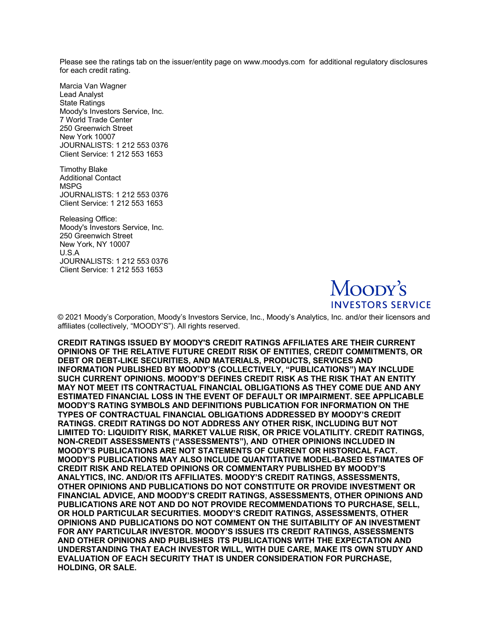Please see the ratings tab on the issuer/entity page on www.moodys.com for additional regulatory disclosures for each credit rating.

Marcia Van Wagner Lead Analyst State Ratings Moody's Investors Service, Inc. 7 World Trade Center 250 Greenwich Street New York 10007 JOURNALISTS: 1 212 553 0376 Client Service: 1 212 553 1653

Timothy Blake Additional Contact MSPG JOURNALISTS: 1 212 553 0376 Client Service: 1 212 553 1653

Releasing Office: Moody's Investors Service, Inc. 250 Greenwich Street New York, NY 10007 U.S.A JOURNALISTS: 1 212 553 0376 Client Service: 1 212 553 1653



© 2021 Moody's Corporation, Moody's Investors Service, Inc., Moody's Analytics, Inc. and/or their licensors and affiliates (collectively, "MOODY'S"). All rights reserved.

**CREDIT RATINGS ISSUED BY MOODY'S CREDIT RATINGS AFFILIATES ARE THEIR CURRENT OPINIONS OF THE RELATIVE FUTURE CREDIT RISK OF ENTITIES, CREDIT COMMITMENTS, OR DEBT OR DEBT-LIKE SECURITIES, AND MATERIALS, PRODUCTS, SERVICES AND INFORMATION PUBLISHED BY MOODY'S (COLLECTIVELY, "PUBLICATIONS") MAY INCLUDE SUCH CURRENT OPINIONS. MOODY'S DEFINES CREDIT RISK AS THE RISK THAT AN ENTITY MAY NOT MEET ITS CONTRACTUAL FINANCIAL OBLIGATIONS AS THEY COME DUE AND ANY ESTIMATED FINANCIAL LOSS IN THE EVENT OF DEFAULT OR IMPAIRMENT. SEE APPLICABLE MOODY'S RATING SYMBOLS AND DEFINITIONS PUBLICATION FOR INFORMATION ON THE TYPES OF CONTRACTUAL FINANCIAL OBLIGATIONS ADDRESSED BY MOODY'S CREDIT RATINGS. CREDIT RATINGS DO NOT ADDRESS ANY OTHER RISK, INCLUDING BUT NOT LIMITED TO: LIQUIDITY RISK, MARKET VALUE RISK, OR PRICE VOLATILITY. CREDIT RATINGS, NON-CREDIT ASSESSMENTS ("ASSESSMENTS"), AND OTHER OPINIONS INCLUDED IN MOODY'S PUBLICATIONS ARE NOT STATEMENTS OF CURRENT OR HISTORICAL FACT. MOODY'S PUBLICATIONS MAY ALSO INCLUDE QUANTITATIVE MODEL-BASED ESTIMATES OF CREDIT RISK AND RELATED OPINIONS OR COMMENTARY PUBLISHED BY MOODY'S ANALYTICS, INC. AND/OR ITS AFFILIATES. MOODY'S CREDIT RATINGS, ASSESSMENTS, OTHER OPINIONS AND PUBLICATIONS DO NOT CONSTITUTE OR PROVIDE INVESTMENT OR FINANCIAL ADVICE, AND MOODY'S CREDIT RATINGS, ASSESSMENTS, OTHER OPINIONS AND PUBLICATIONS ARE NOT AND DO NOT PROVIDE RECOMMENDATIONS TO PURCHASE, SELL, OR HOLD PARTICULAR SECURITIES. MOODY'S CREDIT RATINGS, ASSESSMENTS, OTHER OPINIONS AND PUBLICATIONS DO NOT COMMENT ON THE SUITABILITY OF AN INVESTMENT FOR ANY PARTICULAR INVESTOR. MOODY'S ISSUES ITS CREDIT RATINGS, ASSESSMENTS AND OTHER OPINIONS AND PUBLISHES ITS PUBLICATIONS WITH THE EXPECTATION AND UNDERSTANDING THAT EACH INVESTOR WILL, WITH DUE CARE, MAKE ITS OWN STUDY AND EVALUATION OF EACH SECURITY THAT IS UNDER CONSIDERATION FOR PURCHASE, HOLDING, OR SALE.**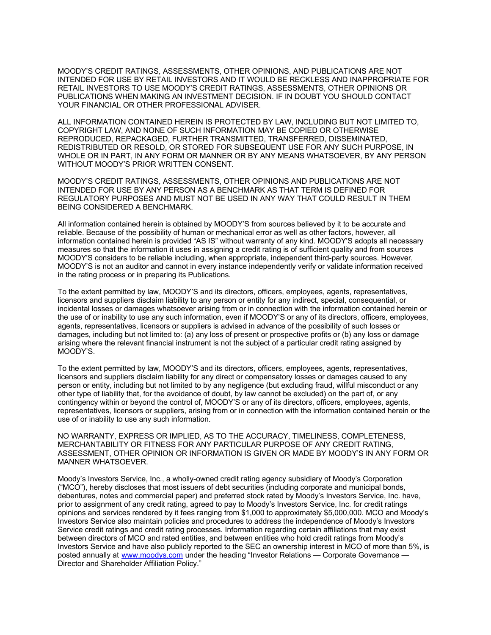MOODY'S CREDIT RATINGS, ASSESSMENTS, OTHER OPINIONS, AND PUBLICATIONS ARE NOT INTENDED FOR USE BY RETAIL INVESTORS AND IT WOULD BE RECKLESS AND INAPPROPRIATE FOR RETAIL INVESTORS TO USE MOODY'S CREDIT RATINGS, ASSESSMENTS, OTHER OPINIONS OR PUBLICATIONS WHEN MAKING AN INVESTMENT DECISION. IF IN DOUBT YOU SHOULD CONTACT YOUR FINANCIAL OR OTHER PROFESSIONAL ADVISER.

ALL INFORMATION CONTAINED HEREIN IS PROTECTED BY LAW, INCLUDING BUT NOT LIMITED TO, COPYRIGHT LAW, AND NONE OF SUCH INFORMATION MAY BE COPIED OR OTHERWISE REPRODUCED, REPACKAGED, FURTHER TRANSMITTED, TRANSFERRED, DISSEMINATED, REDISTRIBUTED OR RESOLD, OR STORED FOR SUBSEQUENT USE FOR ANY SUCH PURPOSE, IN WHOLE OR IN PART, IN ANY FORM OR MANNER OR BY ANY MEANS WHATSOEVER, BY ANY PERSON WITHOUT MOODY'S PRIOR WRITTEN CONSENT.

MOODY'S CREDIT RATINGS, ASSESSMENTS, OTHER OPINIONS AND PUBLICATIONS ARE NOT INTENDED FOR USE BY ANY PERSON AS A BENCHMARK AS THAT TERM IS DEFINED FOR REGULATORY PURPOSES AND MUST NOT BE USED IN ANY WAY THAT COULD RESULT IN THEM BEING CONSIDERED A BENCHMARK.

All information contained herein is obtained by MOODY'S from sources believed by it to be accurate and reliable. Because of the possibility of human or mechanical error as well as other factors, however, all information contained herein is provided "AS IS" without warranty of any kind. MOODY'S adopts all necessary measures so that the information it uses in assigning a credit rating is of sufficient quality and from sources MOODY'S considers to be reliable including, when appropriate, independent third-party sources. However, MOODY'S is not an auditor and cannot in every instance independently verify or validate information received in the rating process or in preparing its Publications.

To the extent permitted by law, MOODY'S and its directors, officers, employees, agents, representatives, licensors and suppliers disclaim liability to any person or entity for any indirect, special, consequential, or incidental losses or damages whatsoever arising from or in connection with the information contained herein or the use of or inability to use any such information, even if MOODY'S or any of its directors, officers, employees, agents, representatives, licensors or suppliers is advised in advance of the possibility of such losses or damages, including but not limited to: (a) any loss of present or prospective profits or (b) any loss or damage arising where the relevant financial instrument is not the subject of a particular credit rating assigned by MOODY'S.

To the extent permitted by law, MOODY'S and its directors, officers, employees, agents, representatives, licensors and suppliers disclaim liability for any direct or compensatory losses or damages caused to any person or entity, including but not limited to by any negligence (but excluding fraud, willful misconduct or any other type of liability that, for the avoidance of doubt, by law cannot be excluded) on the part of, or any contingency within or beyond the control of, MOODY'S or any of its directors, officers, employees, agents, representatives, licensors or suppliers, arising from or in connection with the information contained herein or the use of or inability to use any such information.

NO WARRANTY, EXPRESS OR IMPLIED, AS TO THE ACCURACY, TIMELINESS, COMPLETENESS, MERCHANTABILITY OR FITNESS FOR ANY PARTICULAR PURPOSE OF ANY CREDIT RATING, ASSESSMENT, OTHER OPINION OR INFORMATION IS GIVEN OR MADE BY MOODY'S IN ANY FORM OR MANNER WHATSOEVER.

Moody's Investors Service, Inc., a wholly-owned credit rating agency subsidiary of Moody's Corporation ("MCO"), hereby discloses that most issuers of debt securities (including corporate and municipal bonds, debentures, notes and commercial paper) and preferred stock rated by Moody's Investors Service, Inc. have, prior to assignment of any credit rating, agreed to pay to Moody's Investors Service, Inc. for credit ratings opinions and services rendered by it fees ranging from \$1,000 to approximately \$5,000,000. MCO and Moody's Investors Service also maintain policies and procedures to address the independence of Moody's Investors Service credit ratings and credit rating processes. Information regarding certain affiliations that may exist between directors of MCO and rated entities, and between entities who hold credit ratings from Moody's Investors Service and have also publicly reported to the SEC an ownership interest in MCO of more than 5%, is posted annually at [www.moodys.com](http://www.moodys.com/) under the heading "Investor Relations - Corporate Governance -Director and Shareholder Affiliation Policy."